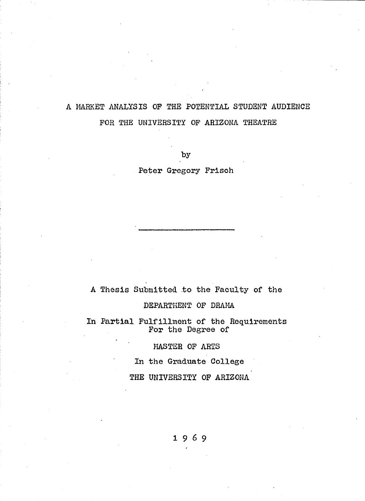# **A MARKET ANALYSIS OF THE POTENTIAL STUDENT AUDIENCE FOR THE UNIVERSITY OF ARIZONA THEATRE**

**by**

**Peter Gregory Frisch**

# **A Thesis Submitted to the Faculty of the**

#### **DEPARTMENT OF DRAMA**

**In Partial Fulfillment of the Requirements For the Degree of**

# **MASTER OF ARTS**

**In the Graduate College**

**THE UNIVERSITY OF ARIZONA**

## **1 9 6 9**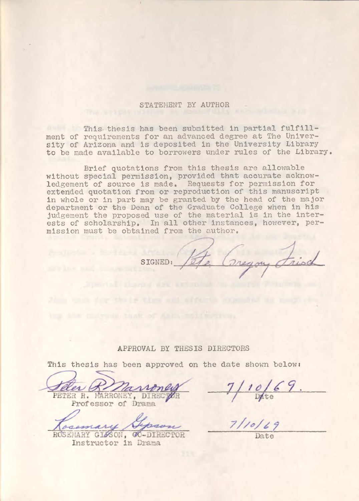#### STATEMENT BY AUTHOR

This- thesis has been submitted in partial fulfillment of requirements for an advanced degree at The University of Arizona and is deposited in the University Library to be made available to borrowers under rules of the Library.

Brief quotations from this thesis are allowable without special permission, provided that accurate acknowledgement of source is made. Requests for permission for extended quotation from or reproduction of this manuscript in whole or in part may be granted by the head of the major department or the Dean of the Graduate College when in his judgement the proposed use of the material is in the interests of scholarship. In all other instances, however, permission must be obtained from the author.

SIGNED:

#### APPROVAL BY THESIS DIRECTORS

This thesis has been approved on the date shown below:

er 1 llan PETER R. MARRONEY, DIRECTOR Professor of Drama

ROSEMARY GIZSON, GO-DIRECTOR

Instructor in Drama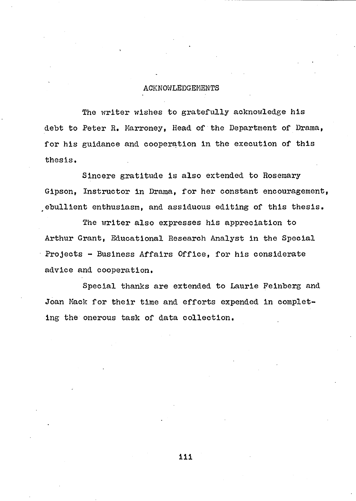### **ACKNOWLEDGEMENTS**

**The writer wishes to gratefully acknowledge his debt to Peter R. Marroney, Head of the Department of Drama, for his guidance and cooperation in the execution of this thesis.**

**Sincere gratitude is also extended to Rosemary Gipson, Instructor in Drama, for her constant encouragement, ebullient enthusiasm, and assiduous editing of this thesis.**

**The writer also expresses his appreciation to Arthur Grant, Educational Research Analyst in the Special Projects - Business Affairs Office, for his considerate advice and cooperation.**

**Special thanks are extended to Laurie Feinberg and Joan Mack for their time and efforts expended in completing the onerous task of data collection.**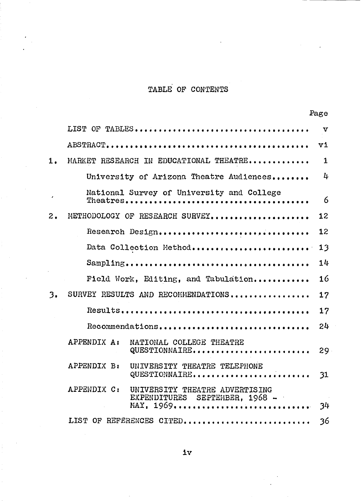# **TABLE OF CONTENTS**

|           |                                                                                              | Page         |
|-----------|----------------------------------------------------------------------------------------------|--------------|
|           |                                                                                              | $\mathbf{v}$ |
|           |                                                                                              | vi           |
| 1.        | MARKET RESEARCH IN EDUCATIONAL THEATRE                                                       | $\mathbf{1}$ |
|           | University of Arizona Theatre Audiences                                                      | 4            |
| $\lambda$ | National Survey of University and College                                                    | 6            |
| 2.        | METHODOLOGY OF RESEARCH SURVEY                                                               | 12           |
|           | Research Design                                                                              | 12           |
|           | Data Collection Method                                                                       | 13           |
|           |                                                                                              | 14           |
|           | Field Work, Editing, and Tabulation                                                          | 16           |
| 3.        | SURVEY RESULTS AND RECOMMENDATIONS                                                           | 17           |
|           |                                                                                              | 17           |
|           | Recommendations                                                                              | 24           |
|           | APPENDIX A:<br>NATIONAL COLLEGE THEATRE<br>QUESTIONNAIRE                                     | 29           |
|           | APPENDIX B:<br>UNIVERSITY THEATRE TELEPHONE<br>QUESTIONNAIRE                                 | 31           |
|           | APPENDIX C:<br>UNIVERSITY THEATRE ADVERTISING<br>EXPENDITURES SEPTEHBER, 1968 -<br>MAY, 1969 | 34           |
|           | LIST OF REFERENCES CITED                                                                     | 36           |

**iv**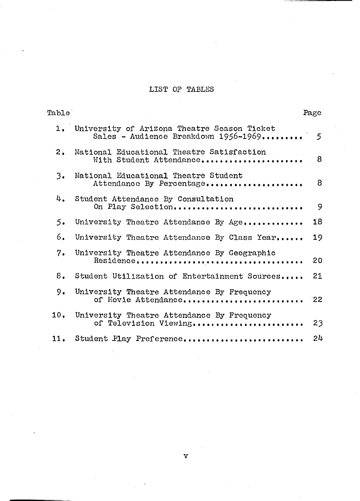# **LIST OF TABLES**

| Table |                                                                                        | Page           |
|-------|----------------------------------------------------------------------------------------|----------------|
|       | 1. University of Arizona Theatre Season Ticket<br>Sales - Audience Breakdown 1956-1969 | $\mathfrak{S}$ |
| 2.    | National Educational Theatre Satisfaction<br>With Student Attendance                   | 8              |
| 3.    | National Educational Theatre Student<br>Attendance By Percentage                       | 8              |
|       | 4. Student Attendance By Consultation<br>On Play Selection                             | 9              |
| 5.    | University Theatre Attendance By Age                                                   | 18             |
| 6.    | University Theatre Attendance By Class Year                                            | 19             |
| 7.    | University Theatre Attendance By Geographic                                            | 20             |
| 8.    | Student Utilization of Entertainment Sources                                           | 21             |
| 9.    | University Theatre Attendance By Frequency<br>of Movie Attendance                      | 22             |
| 10.   | University Theatre Attendance By Frequency<br>of Television Viewing                    | 23             |
| 11.   | Student Play Preference                                                                | 24             |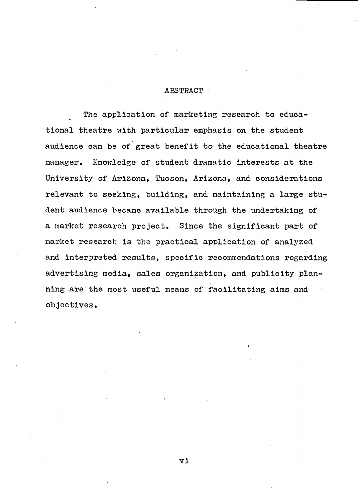#### **ABSTRACT •**

**The application of marketing research to educational theatre with particular emphasis on the student audience can be of great benefit to the educational theatre manager. Knowledge of student dramatic Interests at the University of Arizona, Tucson, Arizona, and considerations relevant to seeking, building, and maintaining a large student audience became available through the undertaking of a market research project. Since the significant part of market research is the practical application of analyzed and interpreted results, specific recommendations regarding advertising media, sales organization, and publicity planning are the most useful means of facilitating aims and objectives.**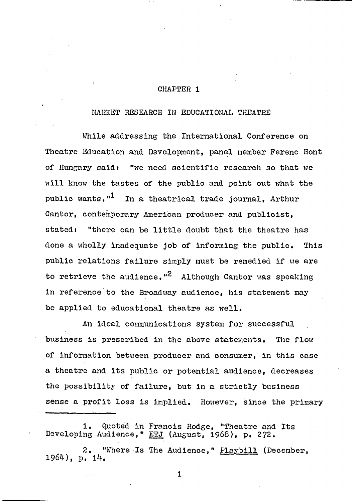#### **CHAPTER 1**

# **MARKET RESEARCH IN EDUCATIONAL THEATRE**

**While addressing the International Conference on Theatre Education and Development, panel member Ferenc Hont of Hungary said: "we need scientific research so that we will know the tastes of the public and point out what the 1 public wants," In a theatrical trade journal, Arthur Cantor, contemporary American producer and publicist, stated: "there can be little doubt that the theatre has done a wholly inadequate job of informing the public. This public relations failure simply must be remedied if we are** to retrieve the audience.<sup>"2</sup> Although Cantor was speaking **in reference to the Broadway audience, his statement may be applied to educational theatre as well.**

**An ideal communications system for successful business is prescribed in the above statements. The flow of information between producer and consumer, in this case a theatre and its public or potential audience, decreases the possibility of failure, but in a strictly business sense a profit loss is implied. However, since the primary**

**<sup>1,</sup> Quoted in Francis Hodge, "Theatre and Its Developing Audience," ETJ (August, 1968), p, 272.**

**<sup>2. &</sup>quot;Where Is The Audience," Playbill (December, 1964), p, 14.**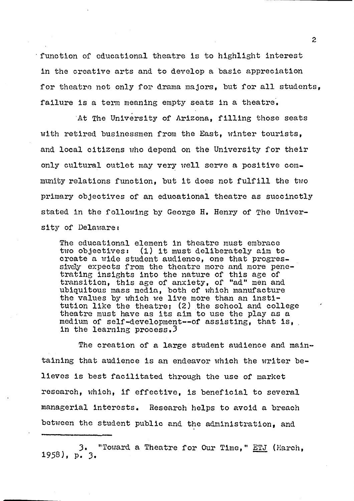**' function of educational theatre is to highlight interest in the creative arts and to develop a basic appreciation for theatre not only for drama majors, but for all students, failure is a term meaning empty seats in a theatre.**

**At The University of Arizona, filling those seats with retired businessmen from the East, winter tourists, and local citizens who depend on the University for their only cultural outlet may very well serve a positive community relations function, but it does not fulfill the two primary objectives of an educational theatre as succinctly stated in the following by George H. Henry of The University of Delaware t**

**The educational element in theatre must embrace two objectives: (1) it must deliberately aim to create a wide student audience, one that progressively expects from the theatre more and more penetrating insights into the nature of this age of transition, this age of anxiety, of "ad" men and ubiquitous mass media, both of which manufacture the values by which we live more than an institution like the theatre; (2) the school and college theatre must have as its aim to use the play as a medium of self-development— of assisting, that is, in the learning process.3**

**The creation of a large student audience and maintaining that audience is an endeavor which the writer believes is best facilitated through the use of market research, which, if effective, is beneficial to several managerial Interests. Research helps to avoid a breach between the student public and the administration, and**

**3. "Toward a Theatre for Our Time," ETJ (March, 1958), p. 3.**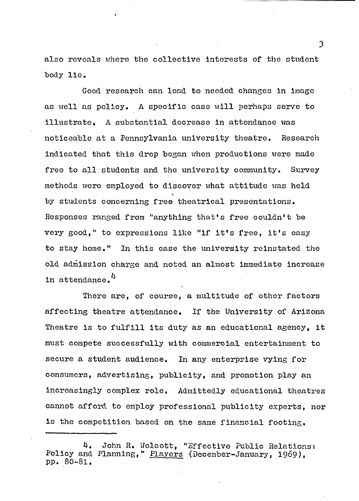**also reveals where the collective interests of the student body lie.**

**Good research can lead to needed changes in image as well as policy. A specific case will perhaps serve to illustrate. A substantial decrease in attendance was noticeable at a Pennsylvania university theatre. Research indicated that this drop began when productions were made free to all students and the university community. Survey methods were employed to discover what attitude was held \** by students concerning free theatrical presentations. **Responses ranged from "anything that's free couldn't be very good," to expressions like "if it's free, it's easy to stay home." In this case the university reinstated the old admission charge and noted an almost immediate increase** in attendance.<sup>4</sup>

**There are, of course, a multitude of other factors affecting theatre attendance. If the University of Arizona Theatre is to fulfill its duty as an educational agency, it must compete successfully with commercial entertainment to secure a student audience. In any enterprise vying for consumers, advertising, publicity, and promotion play an increasingly complex role. Admittedly educational theatres cannot afford to employ professional publicity experts, nor is the competition based on the same financial footing.**

**<sup>4.</sup> John R. Wolcott, "Effective Public Relations:** Policy and Planning," Players (December-January, 1969), **pp. 80—81.**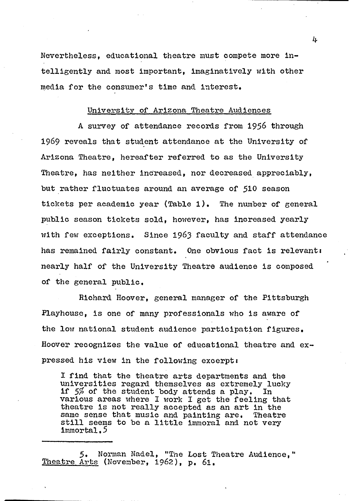**Nevertheless, educational theatre must compete more intelligently and most important, imaginatively with other media for the consumer's time and interest.**

#### **University of Arizona Theatre Audiences**

**A survey of attendance records from 1956 through 1969 reveals that student attendance at the University of Arizona Theatre, hereafter referred to as the University Theatre, has neither increased, nor decreased appreciably, but rather fluctuates around an average of 510 season tickets per academic year (Table 1), The number of general public season tickets sold, however, has increased yearly with few exceptions. Since 1963 faculty and staff attendance has remained fairly constant. One obvious fact is relevant: nearly half of the University Theatre audience is composed of the general public,**

**Richard Hoover, general manager of the Pittsburgh Playhouse, is one of many professionals who is aware of the low national student audience participation figures. Hoover recognizes the value of educational theatre and expressed his view in the following excerpt:**

**I find that the theatre arts departments and the universities regard themselves as extremely lucky if** *5%* **of the student body attends a play. In various areas where I work I get the feeling that theatre is not really accepted as an art in the same sense that music and painting are. Theatre still seems to be a little immoral and not very immortal,5**

**5. Norman Nadel, "The Lost Theatre Audience," Theatre Arts (November, 1 9 6 2 ), p, 6l,**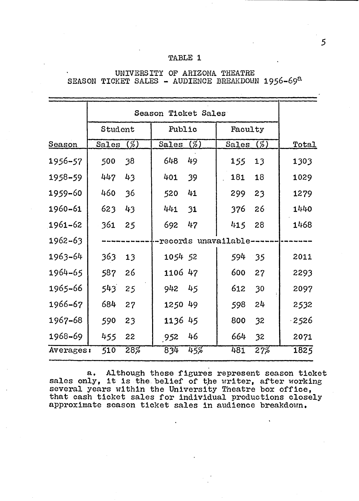## **TABLE 1**

|               | Season Ticket Sales |     |              |        |                          |         |  |              |
|---------------|---------------------|-----|--------------|--------|--------------------------|---------|--|--------------|
|               | Student             |     |              | Public |                          | Faculty |  |              |
| <b>Season</b> | Sales (%)           |     | Sales $(\%)$ |        | Sales (%)                |         |  | <u>Total</u> |
| 1956–57       | 500                 | 38  | 648          | 49     | 155                      | 13      |  | 1303         |
| $1958 - 59$   | 447                 | 43  | 401          | 39     | 181                      | 18      |  | 1029         |
| 1959-60       | 460                 | 36  | 520          | 41     | 299                      | 23      |  | 1279         |
| 1960-61       | 623                 | 43  | 441          | 31     | 376                      | 26      |  | 1440         |
| $1961 - 62$   | 361                 | 25  | 692          | 47     | 415                      | 28      |  | 1468         |
| $1962 - 63$   |                     |     |              |        | --records unavailable--- |         |  |              |
| $1963 - 64$   | 363                 | 13  | 1054 52      |        | 594                      | 35      |  | 2011         |
| 1964-65       | 587                 | 26  | 1106 47      |        | 600                      | 27      |  | 2293         |
| 1965-66       | 543                 | 25  | 942 45       |        | 612                      | 30      |  | 2097         |
| 1966–67       | 684                 | 27  | 1250 49      |        | 598                      | 24      |  | 2532         |
| 1967-68       | 590                 | 23  | 1136 45      |        | 800                      | 32      |  | $-2526$      |
| 1968-69       | 455                 | 22  | 952          | 46     | 664                      | 32      |  | 2071         |
| Averages:     | 510                 | 28% | 834          | 45%    | 481                      | 27%     |  | 1825         |

## **UNIVERSITY OF ARIZONA THEATRE SEASON TICKET SALES - AUDIENCE BREAKDOWN 1956-69a**

**a. Although these figures represent season ticket** sales only, it is the belief of the writer, after working **several years within the University Theatre box office, that cash ticket sales for individual productions closely approximate season ticket sales in audience breakdown.**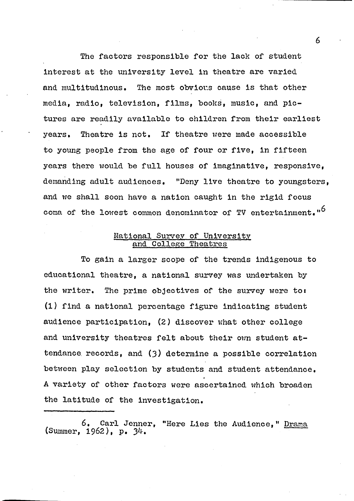**The factors responsible for the lack of student interest at the university level in theatre are varied and multitudinous. The most obvious cause is that other media, radio, television, films, books, music, and pictures are readily available to children from their earliest years. Theatre is not. If theatre were made accessible to young people from the age of four or five, in fifteen years there would be full houses of imaginative, responsive, demanding adult audiences. "Deny live theatre to youngsters, and we shall soon have a nation caught in the rigid focus coma of the lowest common denominator of TV entertainment.**

### **National Survey of University and College Theatres**

**To gain a larger scope of the trends indigenous to educational theatre, a national survey was undertaken by the writer. The prime objectives of the survey were to: (1) find a national percentage figure indicating student audience participation, (2) discover what other college and university theatres felt about their own student attendance records, and (3) determine a possible correlation between play selection by students and student attendance, A variety of other factors were ascertained which broaden the latitude of the investigation.**

**6, Carl Jenner, "Here Lies the Audience," Drama (Summer, 1962), p. 34-.**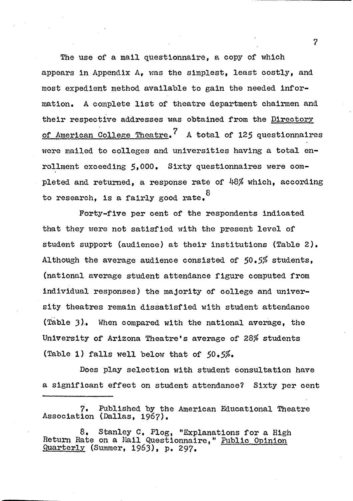**The use of a mail questionnaire, a copy of which appears in Appendix A, was the simplest, least costly, and most expedient method available to gain the needed information, A complete list of theatre department chairmen and their respective addresses was obtained from the Directory 7 of American College Theatre, A total of 125 questionnaires were mailed to colleges and universities having a total en**rollment exceeding 5,000. Sixty questionnaires were com**pleted and returned, a response rate of 48\$ which, according to research, is a fairly good rate,®**

**Forty-five per cent of the respondents indicated that they were not satisfied with the present level of student support (audience) at their institutions (Table 2), Although the average audience consisted of 50,5\$ students, (national average student attendance figure computed from individual responses) the majority of college and university theatres remain dissatisfied with student attendance (Table 3 ). When compared with the national average, the University of Arizona Theatre's average of 28\$ students (Table 1 ) falls well below that of 50,5\$\***

**Does play selection with student consultation have a significant effect on student attendance? Sixty per cent**

**7, Published by the American Educational Theatre** Association (Dallas, 1967).

**8 , Stanley C, Flog, "Explanations for a High Return Rate on a Mail Questionnaire," Public Opinion Quarterly (Summer, 1 9 6 3), p, 2 9 7 ,**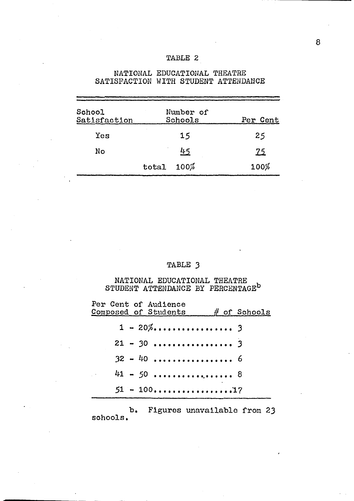| <b>TABLE</b> |  |
|--------------|--|
|--------------|--|

|                        |       |                      | DAIIDPACIIUN WIIN DIUDENI AIIENDANCE |
|------------------------|-------|----------------------|--------------------------------------|
| School<br>Satisfaction |       | Number of<br>Schools | Per Cent                             |
| Yes                    |       | 15                   | 25                                   |
| No                     |       | 45                   | <u> 25</u>                           |
|                        | total | 100%                 | 100%                                 |

### **NATIONAL EDUCATIONAL THEATRE SATISFACTION WITH STUDENT ATTENDANCE**

# **TABLE 3**

**NATIONAL EDUCATIONAL THEATRE STUDENT ATTENDANCE BY PERCENTAGE®**

| Per Cent of Audience<br>$\mathop{\mathsf{Composed}}$ of Students $\qquad$ # of Schools |  |
|----------------------------------------------------------------------------------------|--|
|                                                                                        |  |
|                                                                                        |  |
|                                                                                        |  |
| $41 - 50$ 8                                                                            |  |
|                                                                                        |  |
|                                                                                        |  |

**b. Figures unavailable from 23 schools**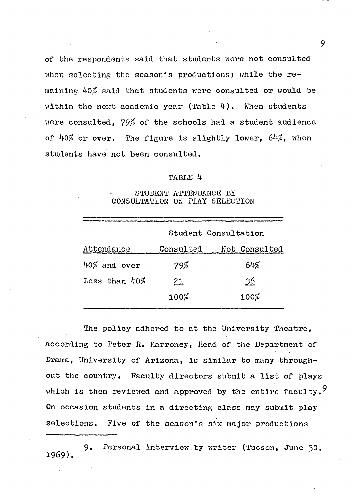**of the respondents said that students were not consulted when selecting the season's productions; while the remaining** *kO/o* **said that students were consulted or would be within the next academic year (Table 4), When students were consulted, 79^ of the schools had a student audience** of 40% or over. The figure is slightly lower, 64%, when **students have not been consulted.**

#### **TABLE 4**

#### **STUDENT ATTENDANCE BY CONSULTATION ON PLAY SELECTION**

|                  |           | Student Consultation |
|------------------|-----------|----------------------|
| Attendance       | Consulted | Not Consulted        |
| $40\%$ and over  | 79%       | 64%                  |
| Less than $40\%$ | 21        | 36                   |
| $\mathbf{r}$     | 100%      | 100%                 |
|                  |           |                      |

**The policy adhered to at the University. Theatre, according to Peter R. Marroney, Head of the Department of Drama, University of Arizona, is similar to many throughout the country. Faculty directors submit a list of plays** which is then reviewed and approved by the entire faculty.<sup>9</sup> **On occasion students in a directing class may submit play selections. Five of the season's six major productions**

**1969). 9. Personal interview by writer (Tucson, June 30,**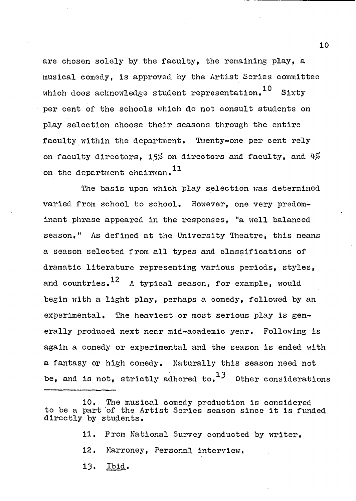**are chosen solely by the faculty, the remaining play, a musical comedy, is approved by the Artist Series committee** which does acknowledge student representation.<sup>10</sup> Sixty **per cent of the schools which do not consult students on play selection choose their seasons through the entire faculty within the department. Twenty-one per cent rely on faculty directors, 15/£ on directors and faculty, and** *k#* **<sup>11</sup> on the department chairman.**

**The basis upon which play selection was determined varied from school to school. However, one very predominant phrase appeared in the responses, "a well balanced season." As defined at the University Theatre, this means a season selected from all types and classifications of dramatic literature representing various periods, styles, <sup>12</sup> and countries. A typical season, for example, would begin with a light play, perhaps a comedy, followed by an experimental. The heaviest or most serious play is generally produced next near mid-academic year. Following is again a comedy or experimental and the season is ended with a fantasy or high comedy. Naturally this season need not** be, and is not, strictly adhered to.<sup>13</sup> Other considerations

- **11. From National Survey conducted by writer,**
- **12, Harroney, Personal interview,**
- **13. Ibid.**

**<sup>10,</sup> The musical comedy production is considered to be a part of the Artist Series season since it is funded directly by students,**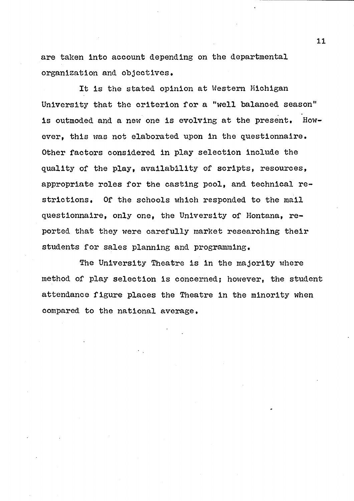**are taken into account depending on the departmental organization and objectives.**

**It is the stated opinion at Western Michigan University that the criterion for a "well balanced season" is outmoded and a new one is evolving at the present. However, this was not elaborated upon in the questionnaire, Other factors considered in play selection include the quality of the play, availability of scripts, resources, appropriate roles for the casting pool, and technical restrictions, Of the schools which responded to the mail questionnaire, only one, the University of Montana, reported that they were carefully market researching their students for sales planning and programming.**

**The University Theatre is in the majority where method of play selection is concerned; however, the student attendance figure places the Theatre in the minority when compared to the national average,**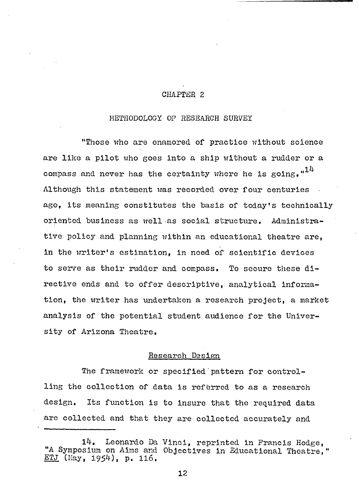## **CHAPTER 2**

#### **METHODOLOGY OF RESEARCH SURVEY**

**"Those who are enamored of practice without science are like a pilot who goes into a ship without a rudder or a compass and never has the certainty where he is going. Although this statement was recorded over four centuries ago, its meaning constitutes the basis of today's technically oriented business as well as social structure. Administrative policy and planning within an educational theatre are, in the writer's estimation, in need of scientific devices to serve as their rudder and compass. To secure these directive ends and to offer descriptive, analytical information, the writer has undertaken a research project, a market analysis of the potential student audience for the University of Arizona Theatre,**

#### **Research Design**

**The framework or specified pattern for controlling the collection of data is referred to as a research design. Its function is to insure that the required data are collected and that they are collected accurately and**

**<sup>14,</sup> Leonardo Da Vinci, reprinted in Francis Hodge, "A Symposium on Aims and Objectives in Educational Theatre," ETJ (May, 1954), p. 116,**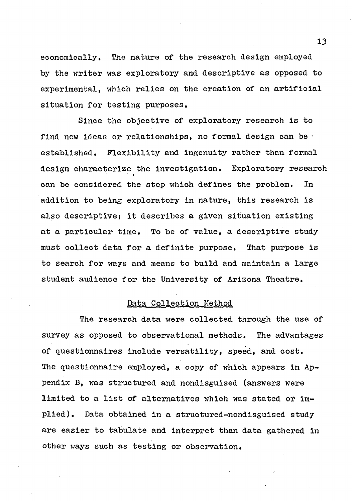**economically. The nature of the research design employed by the writer was exploratory and descriptive as opposed to experimental, which relies on the creation of an artificial situation for testing purposes.**

**Since the objective of exploratory research is to find new ideas or relationships, no formal design can be • established. Flexibility and ingenuity rather than formal design characterize the Investigation. Exploratory research can be considered the step which defines the problem. In addition to being exploratory in nature, this research is also descriptive; it describes a given situation existing at a particular time. To be of value, a descriptive study must collect data for a definite purpose. That purpose is to search for ways and means to build and maintain a large student audience for the University of Arizona Theatre.**

#### **Data Collection Method**

**The research data were collected through the use of survey as opposed to observational methods. The advantages of questionnaires include versatility, speed, and cost.** The questionnaire employed, a copy of which appears in Ap**pendix B, was structured and nondisguised (answers were limited to a list of alternatives which was stated or implied). Data obtained in a structured-nondisguised study are easier to tabulate and interpret than data gathered in other ways such as testing or observation.**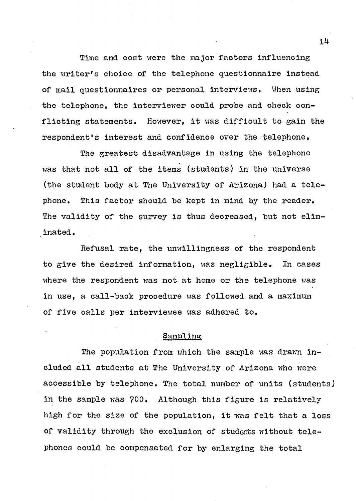**Time and cost were the major factors influencing the writer's choice of the telephone questionnaire instead of mail questionnaires or personal interviews. When using the telephone, the interviewer could probe and check conflicting statements. However, it was difficult to gain the respondent's interest and confidence over the telephone.**

**The greatest disadvantage in using the telephone was that not all of the items (students) in the universe (the student body at The University of Arizona) had a telephone, This factor should be kept in mind by the reader. The validity of the survey is thus decreased, but not eliminated .**

**Refusal rate, the unwillingness of the respondent to give the desired information, was negligible. In cases where the respondent was not at home or the telephone was in use, a call-back procedure was followed and a maximum of five calls per interviewee was adhered to.**

#### **Sampling**

**The population from which the sample was drawn included all students at The University of Arizona who were accessible by telephone, The total number of units (students) in the sample was 700. Although this figure is relatively high for the size of the population, it was felt that a loss of validity through the exclusion of students without telephones could be compensated for by enlarging the total**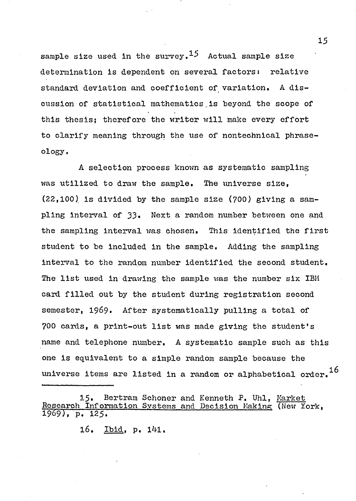sample size used in the survey.<sup>15</sup> Actual sample size **determination is dependent on several factorsi relative standard deviation and coefficient of variation. A discussion of statistical mathematics\_is beyond the scope of this thesis; therefore the writer will make every effort to clarify meaning through the use of nontechnical phraseology,**

**A selection process known as systematic sampling was utilized to draw the sample. The universe size, (22,100) is divided by the sample size (?00) giving a sampling interval of 33• Next a random number between one and the sampling Interval was chosen. This identified the first student to be included in the sample. Adding the sampling interval to the random number identified the second student. The list used in drawing the sample was the number six IBM card filled out by the student during registration second** semester, 1969. After systematically pulling a total of **?00 cards, a print-out list was made giving the student's name and telephone number, A systematic sample such as this one is equivalent to a simple random sample because the universe items are listed in a random or alphabetical order.^**

15. Bertram Schoner and Kenneth P. Uhl, Market **Research Information Systems and Decision Making: (New York, 1969), P. 125\***

**l6. Ibid, p. 141.**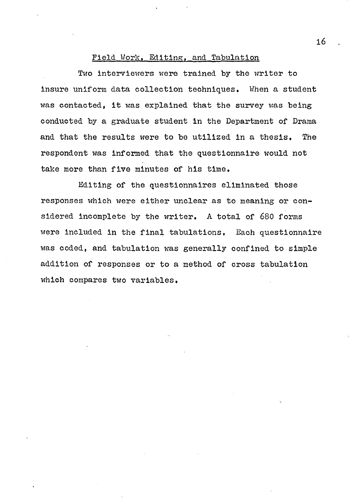#### **Field Work, Editing:, and Tabulation**

**Two Interviewers were trained by the writer to insure uniform data collection techniques. When a student was contacted, it was explained that the survey was being conducted by a graduate student in the Department of Drama and that the results were to be utilized in a thesis. The respondent was informed that the questionnaire would not take more than five minutes of his time.**

**Editing of the questionnaires eliminated those responses which were either unclear as to meaning or considered incomplete by the writer, A total of 680 forms were included in the final tabulations. Each questionnaire was coded, and tabulation was generally confined to simple addition of responses or to a method of cross tabulation which compares two variables,**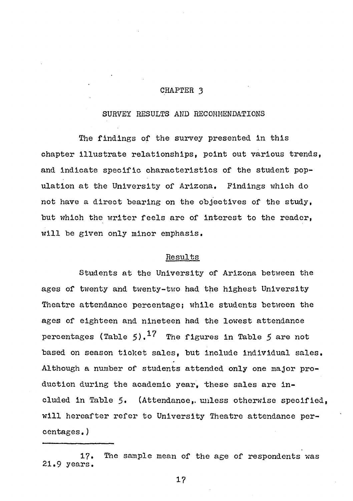#### **CHAPTER 3**

#### **SURVEY RESULTS AND RECOMMENDATIONS**

**The findings of the survey presented in this chapter illustrate relationships, point out various trends, and indicate specific characteristics of the student population at the University of Arizona. Findings which do not have a direct bearing on the objectives of the study, but which the writer feels are of interest to the reader, will be given only minor emphasis.**

#### **Results**

**Students at the University of Arizona between the ages of twenty and twenty-two had the highest University Theatre attendance percentage; while students between the ages of eighteen and nineteen had the lowest attendance** percentages (Table  $5)$ .<sup>17</sup> The figures in Table 5 are not **based on season ticket sales, but include individual sales. Although a number of students attended only one major production during the academic year, these sales are included in Table 5\* (Attendance,, unless otherwise specified, will hereafter refer to University Theatre attendance percentages.)**

**<sup>17.</sup> The sample mean of the age of respondents was 21.9 years.**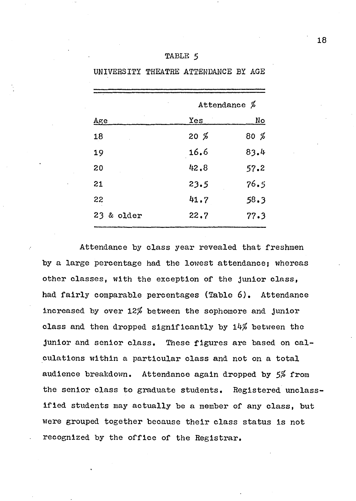|                             | Attendance $\beta$ |           |
|-----------------------------|--------------------|-----------|
| $\mathop{\rm Age}\nolimits$ | Yes                | <u>No</u> |
| 18                          | $20\,$ %           | 80 %      |
| 19                          | 16.6               | 83.4      |
| 20                          | 42.8               | 57.2      |
| 21                          | 23.5               | 76.5      |
| 22                          | 41.7               | 58.3      |
| 23 & older                  | 22.7               | 77.3      |

### **TABLE 5**

**UNIVERSITY THEATRE ATTENDANCE BY AGE**

**Attendance by class year revealed that freshmen by a large percentage had the lowest attendance; whereas other classes, with the exception of the junior class, had fairly comparable percentages (Table 6). Attendance increased by over 12# between the sophomore and junior** class and then dropped significantly by 14% between the **junior and senior class. These figures are based on calculations within a particular class and not on a total** audience breakdown. Attendance again dropped by 5% from **the senior class to graduate students. Registered unclassified students may actually be a member of any class, but were grouped together because their class status is not recognized by the office of the Registrar.**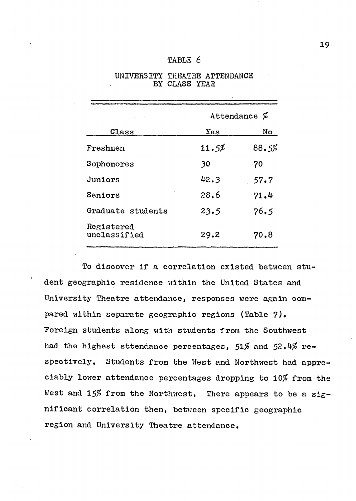| TABLE 6 |  |
|---------|--|
|         |  |

|                            | Attendance $\%$ |       |  |
|----------------------------|-----------------|-------|--|
| Class                      | Yes             | No    |  |
| Freshmen                   | 11.5%           | 88.5% |  |
| Sophomores                 | 30              | 70    |  |
| Juniors                    | 42.3            | 57.7  |  |
| Seniors                    | 28.6            | 71.4  |  |
| Graduate students          | 23.5            | 76.5  |  |
| Registered<br>unclassified | 29.2            | 70.8  |  |

**UNIVERSITY THEATRE ATTENDANCE BY CLASS YEAR**

**To discover if a correlation existed between student geographic residence within the United States and University Theatre attendance, responses were again compared within separate geographic regions (Table ?). "Foreign students along with students from the Southwest** had the highest sttendance percentages, 51% and 52.4% re**spectively, Students from the West and Northwest had appreciably lower attendance percentages dropping to 10\$ from the** West and 15% from the Northwest. There appears to be a sig**nificant correlation then, between specific geographic region and University Theatre attendance.**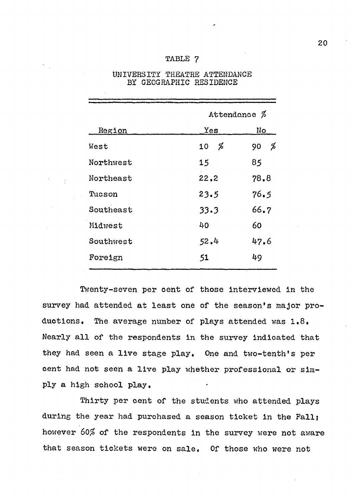#### **TABLE ?**

|           | Attendance $\%$ |         |
|-----------|-----------------|---------|
| Region    | Yes             | No      |
| West      | %<br>10         | %<br>90 |
| Northwest | 15              | 85      |
| Northeast | 22.2            | 78.8    |
| Tucson    | 23.5            | 76.5    |
| Southeast | 33.3            | 66.7    |
| Midwest   | 40              | 60      |
| Southwest | 52.4            | 47.6    |
| Foreign   | 51              | 49      |

### **UNIVERSITY THEATRE ATTENDANCE BY GEOGRAPHIC RESIDENCE**

**Twenty-seven per cent of those interviewed in the survey had attended at least one of the season's major productions, The average number of plays attended was 1.8, Nearly all of the respondents in the survey indicated that they had seen a live stage play. One and two-tenth's per cent had not seen a live play whether professional or simply a high school play.**

**Thirty per cent of the students who attended plays during the year had purchased a season ticket in the Fall; however 60\$ of the respondents in the survey were not aware that season tickets were on sale. Of those who were not**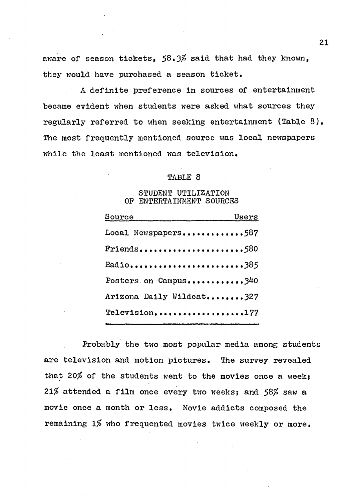aware of season tickets, 58.3% said that had they known, **they would have purchased a season ticket.**

**A definite preference in sources of entertainment became evident when students were asked what sources they regularly referred to when seeking entertainment (Table 8). The most frequently mentioned source was local newspapers while the least mentioned was television.**

#### **TABLE 8**

#### **STUDENT UTILIZATION OF ENTERTAINMENT SOURCES**

| Source                   | Users |
|--------------------------|-------|
| Local Newspapers587      |       |
| $Friends$ 580            |       |
| Radio385                 |       |
| Posters on Campus340     |       |
| Arizona Daily Wildcat327 |       |
| Television177            |       |

**Probably the two most popular media among students are television and motion pictures. The survey revealed** that 20% of the students went to the movies once a week; *21%* **attended a film once every two weeks; and 58/£ saw a movie once a month or less. Movie addicts composed the remaining** *1%* **who frequented movies twice weekly or more.**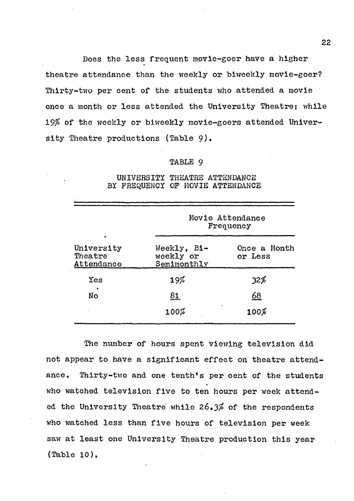**Does the less frequent movie-goer have a higher theatre attendance than the weekly or biweekly movie-goer? Thirty-two per cent of the students who attended a movie once a month or less attended the University Theatre; while** *19%* **of the weekly or biweekly movie-goers attended University Theatre productions (Table** *9)•*

#### **TABLE 9**

|                                     | Movie Attendance<br>Frequency           |                         |  |
|-------------------------------------|-----------------------------------------|-------------------------|--|
| University<br>Theatre<br>Attendance | Weekly, Bi-<br>weekly or<br>Semimonthly | Once a Month<br>or Less |  |
| Yes                                 | $19\%$                                  | 32%                     |  |
| ٠<br><b>No</b>                      | <u>81</u>                               | <u>68</u>               |  |
|                                     | $100\%$                                 | $100\%$                 |  |

#### **UNIVERSITY THEATRE ATTENDANCE BY FREQUENCY OF MOVIE ATTENDANCE**

**The number of hours spent viewing television did not appear to have a significant effect on theatre attendance, Thirty-two and one tenth's per cent of the students who watched television five to ten hours per week attended the University Theatre while 26«3?» of the respondents who watched less than five hours of television per week saw at least one University Theatre production this year (Table 10).**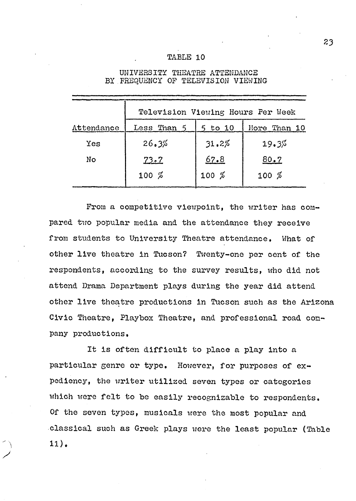### **TABLE 10**

|            | Television Viewing Hours Per Week |             |       |  |  |
|------------|-----------------------------------|-------------|-------|--|--|
| Attendance | Less Than 5                       | $5$ to $10$ |       |  |  |
| Yes        | 26.3%                             | 31.2%       | 19.3% |  |  |
| No         | 73.7                              | 67.8        | 80.7  |  |  |
|            | $100\%$                           | $100\%$     | 100%  |  |  |

#### **UNIVERSITY THEATRE ATTENDANCE BY FREQUENCY OF TELEVISION VIEWING**

From a competitive viewpoint, the writer has com**pared two popular media and the attendance they receive from students to University Theatre attendance. What of other live theatre in Tucson? Twenty-one per cent of the respondents, according to the survey results, who did not attend Drama Department plays during the year did attend other live theatre productions in Tucson such as the Arizona Civic Theatre, Playbox Theatre, and professional road company productions.**

**It is often difficult to place a play into a particular genre or type. However, for purposes of expediency, the writer utilized seven types or categories which were felt to be easily recognizable to respondents. Of the seven types, musicals were the most popular and classical such as Greek plays were the least popular (Table 11).**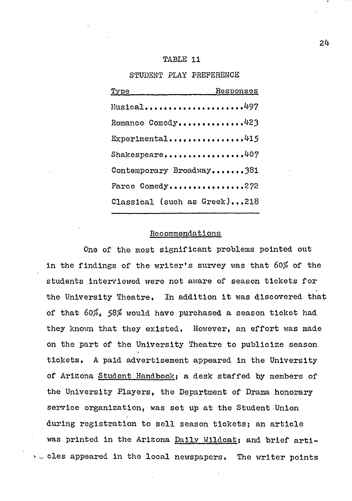#### **TABLE 11**

**STUDENT PLAY PREFERENCE**

| Type Responses               |  |
|------------------------------|--|
| Musical497                   |  |
| Romance Comedy423            |  |
| Experimental415              |  |
| Shakespeare407               |  |
| Contemporary Broadway381     |  |
| Farce Comedy272              |  |
| Classical (such as Greek)218 |  |

#### **Recommendations**

**One of the most significant problems pointed out in the findings of the writer's survey was that** *60%* **of the students interviewed were not aware of season tickets for the University Theatre, In addition it was discovered that of that 60/£. 58# would have purchased a season ticket had they known that they existed. However, an effort was made on the part of the University Theatre to publicize season tickets, A paid advertisement appeared in the University of Arizona Student Handbook: a desk staffed by members of the University Players, the Department of Drama honorary service organization, was set up at the Student Union during registration to sell season tickets; an article** was printed in the Arizona Daily Wildcat; and brief arti**cles appeared in the local newspapers, The writer points**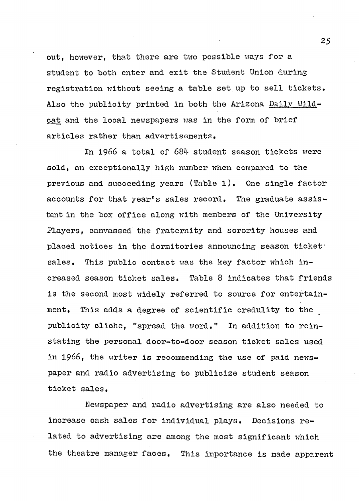**out, however, that there are two possible ways for a student to both enter and exit the Student Union during registration without seeing a table set up to sell tickets. Also the publicity printed in both the Arizona Dally Wildcat and the local newspapers was in the form of brief articles rather than advertisements.**

**In 1966 a total of 684 student season tickets were sold, an exceptionally high number when compared to the previous and succeeding years (Table 1). One single factor accounts for that year's sales record. The graduate assistant in the box office along with members of the University Players, canvassed the fraternity and sorority houses and placed notices in the dormitories announcing season ticket sales. This public contact was the key factor which increased season ticket sales. Table 8 indicates that friends is the second most widely referred to source for entertainment. This adds a degree of scientific credulity to the publicity cliche, "spread the word." In addition to reinstating the personal door-to-door season ticket sales used** in 1966, the writer is recommending the use of paid news**paper and radio advertising to publicize student season ticket sales.**

**Newspaper and radio advertising are also needed to increase cash sales for individual plays. Decisions related to advertising are among the most significant which the theatre manager faces. This importance is made apparent**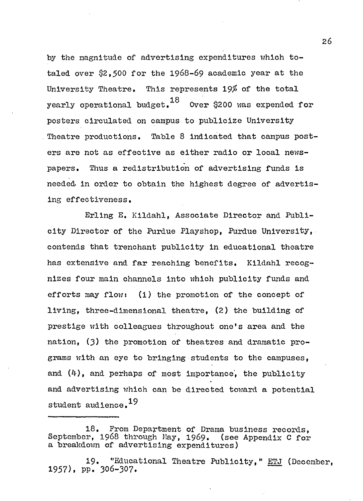by the magnitude of advertising expenditures which to**taled over \$2 ,5 0 0 for the 1 9 6 8 -6 9 academic year at the University Theatre. This represents 19\$ of the total yearly operational budget. Over \$200 was expended for posters circulated on campus to publicize University Theatre productions. Table 8 Indicated that campus posters are not as effective as either radio or local newspapers. Thus a redistribution of advertising funds is needed, in order to obtain the highest degree of advertising effectiveness.**

**Erllng E, Kildahl, Associate Director and Publicity Director of the Purdue Playshop, Purdue University, contends that trenchant publicity in educational theatre has extensive and far reaching benefits, Kildahl recognizes four main channels into which publicity funds and efforts may flow: (1) the promotion of the concept of living, three-dimensional theatre, (2) the building of prestige with colleagues throughout one's area and the nation, (3 ) the promotion of theatres and dramatic programs with an eye to bringing students to the campuses, and (4), and perhaps of most importance', the publicity and advertising which can be directed toward a potential student audience.**

**19. "Educational Theatre Publicity," ETJ (December, 1957), PP. 306-307.**

**<sup>18,</sup> From Department of Drama business records, September, 1968 through May, 1969. a breakdown of advertising expenditures)**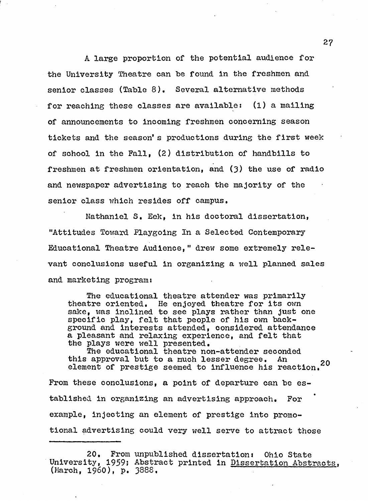**A large proportion of the potential audience for the University Theatre can be found in the freshmen and senior classes (Table 8). Several alternative methods for reaching these classes are available: (1) a mailing of announcements to incoming freshmen concerning season tickets and the season\*s productions during the first week of school in the Fall, (2) distribution of handbills to freshmen at freshmen orientation, and (3) the use of radio and newspaper advertising to reach the majority of the senior class which resides off campus.**

**Nathaniel S. Eek, in his doctoral dissertation, "Attitudes Toward Playgoing In a Selected Contemporary Educational Theatre Audience," drew some extremely relevant conclusions useful in organizing a well planned sales and marketing programi**

**The educational theatre attender was primarily theatre oriented. He enjoyed theatre for its own sake, was inclined to see plays rather than just one specific play, felt that people of his own background and interests attended, considered attendance a pleasant and relaxing experience, and felt that the plays were well presented.**

**The educational theatre non-attender seconded this approval but to a much lesser degree. An 2o element of prestige seemed to influence his reaction.**

**From these conclusions, a point of departure can be established in organizing an advertising approach. For example, injecting an element of prestige into promotional advertising could very well serve to attract those**

**<sup>20,</sup> From unpublished dissertation: Ohio State University, 1959; Abstract printed in Dissertation Abstracts. (March, I960), p. 3888,**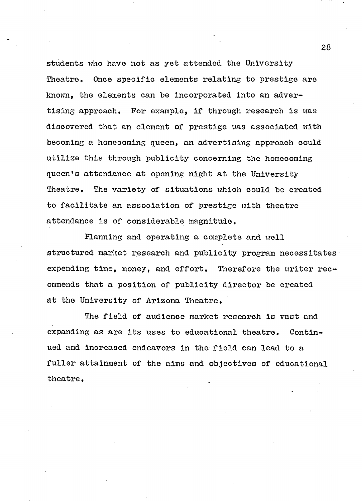**students vrho have not as yet attended the University** Theatre. Once specific elements relating to prestige are **known, the elements can be Incorporated into an advertising approach. For example, if through research is was discovered that an element of prestige was associated with becoming a homecoming queen, an advertising approach could utilize this through publicity concerning the homecoming queen's attendance at opening night at the University Theatre, The variety of situations which could be created to facilitate an association of prestige with theatre attendance is of considerable magnitude.**

**Planning and operating a complete and well structured market research and publicity program necessitates expending time, money, and effort. Therefore the writer recommends that a position of publicity director be created at the University of Arizona Theatre.**

**The field of audience market research is vast and expanding as are its uses to educational theatre. Continued and increased endeavors in the field can lead to a fuller attainment of the aims and objectives of educational theatre,**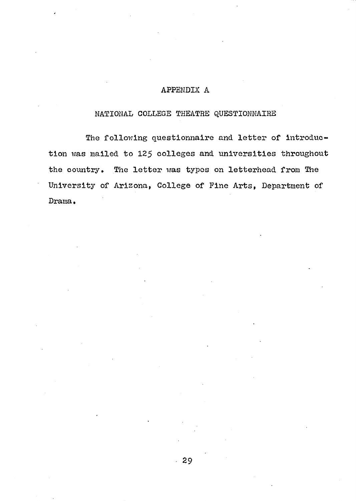# **APPENDIX A**

# **NATIONAL COLLEGE THEATRE QUESTIONNAIRE**

**The following questionnaire and letter of introduction was mailed to 125 colleges and universities throughout** the country. The letter was types on letterhead from The **University of Arizona, College of Fine Arts, Department of Drama \***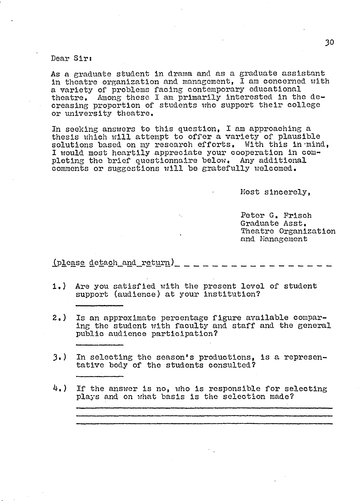**Dear Sir:**

**As a graduate student in drama and as a graduate assistant in theatre organization and management, I am concerned with a variety of problems facing contemporary educational theatre. Among these I am primarily interested in the decreasing proportion of students who support their college or university theatre.**

**In seeking answers to this question, I am approaching a thesis which will attempt to offer a variety of plausible solutions based on my research efforts. With this in-mind, I would most heartily appreciate your cooperation in completing the brief questionnaire below. Any additional comments or suggestions will be gratefully welcomed.**

**Host sincerely,**

**Peter G. Frisch Graduate Asst. Theatre Organization and Management**

(please detach and return)

- **1,) Are you satisfied with the present level of student support (audience) at your institution?**
- **2,) Is an approximate percentage figure available comparing the student with faculty and staff and the general public audience participation?**
- **3») In selecting the season's productions, is a representative body of the students consulted?**
- **4.) If the answer is no, who is responsible for selecting plays and on what basis is the selection made?**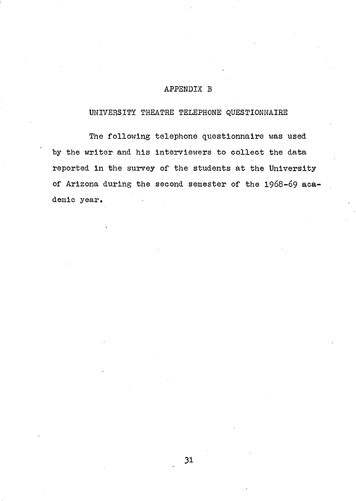# **APPENDIX B**

#### **UNIVERSITY THEATRE TELEPHONE QUESTIONNAIRE**

**The following telephone questionnaire was used by the writer and his interviewers to collect the data reported in the survey of the students at the University** of Arizona during the second semester of the 1968-69 aca**demic year.**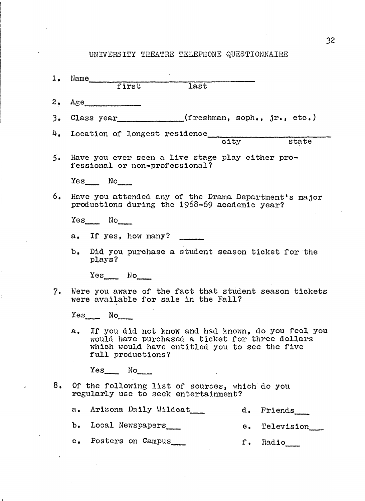# **UNIVERSITY THEATRE TELEPHONE QUESTIONNAIRE**

|    | 1. Name<br>first                                                                                                                                                               |  |  |  |  |  |
|----|--------------------------------------------------------------------------------------------------------------------------------------------------------------------------------|--|--|--|--|--|
|    | <b>Tast</b>                                                                                                                                                                    |  |  |  |  |  |
|    | $2. \t\t\t \text{Age}$                                                                                                                                                         |  |  |  |  |  |
|    | 3. Class year____________(freshman, soph., jr., etc.)                                                                                                                          |  |  |  |  |  |
|    | 4. Location of longest residence city state                                                                                                                                    |  |  |  |  |  |
|    |                                                                                                                                                                                |  |  |  |  |  |
| 5. | Have you ever seen a live stage play either pro-<br>fessional or non-professional?                                                                                             |  |  |  |  |  |
|    | $Yes$ No                                                                                                                                                                       |  |  |  |  |  |
| 6. | Have you attended any of the Drama Department's major<br>productions during the 1968-69 academic year?                                                                         |  |  |  |  |  |
|    | $Yes$ No                                                                                                                                                                       |  |  |  |  |  |
|    | a. If yes, how many?                                                                                                                                                           |  |  |  |  |  |
|    | b. Did you purchase a student season ticket for the<br>plays?                                                                                                                  |  |  |  |  |  |
|    | $Yes$ No                                                                                                                                                                       |  |  |  |  |  |
| 7. | Were you aware of the fact that student season tickets<br>were available for sale in the Fall?                                                                                 |  |  |  |  |  |
|    | $Yes$ No                                                                                                                                                                       |  |  |  |  |  |
|    | a. If you did not know and had known, do you feel you<br>would have purchased a ticket for three dollars<br>which would have entitled you to see the five<br>full productions? |  |  |  |  |  |
|    | $Yes$ No $N$                                                                                                                                                                   |  |  |  |  |  |
| 8. | Of the following list of sources, which do you<br>regularly use to seek entertainment?                                                                                         |  |  |  |  |  |
|    | Arizona Daily Wildeat<br>$a_{\bullet}$<br>d. Friends                                                                                                                           |  |  |  |  |  |
|    | b. Local Newspapers<br>e. Television                                                                                                                                           |  |  |  |  |  |
|    | c. Posters on Campus<br>f. Radio                                                                                                                                               |  |  |  |  |  |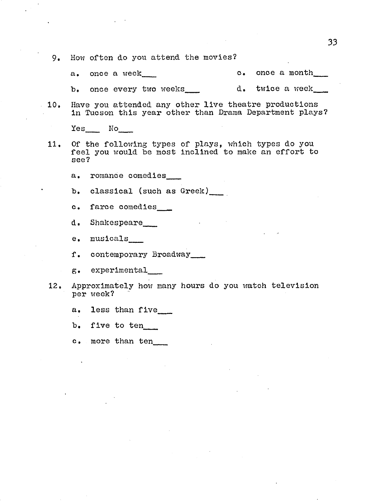- **9. How often do you attend the movies?**
	- a. once a week\_\_\_\_ c. once a month\_\_\_
	- b. once every two weeks\_\_\_ d. twice a week\_
- **10e Have you attended any other live theatre productions in Tucson this year other than Drama Department plays?**

**Yes\_\_\_ No\_\_\_**

- **11. Of the following types of plays, which types do you feel you would be most Inclined to make an effort to see?**
	- **a. romance comedies\_\_\_**

**b. classical (such as Greek)\_\_\_**

- **c. farce comedies\_\_\_**
- **d. Shakespeare\_\_\_**

**e. musicals\_\_\_**

**f. contemporary Broadway\_\_\_**

**g. experimental\_\_\_**

- **12. Approximately how many hours do you watch television per week?**
	- **a. less than five\_\_\_**

**b. five to ten\_\_\_**

**c. more than ten**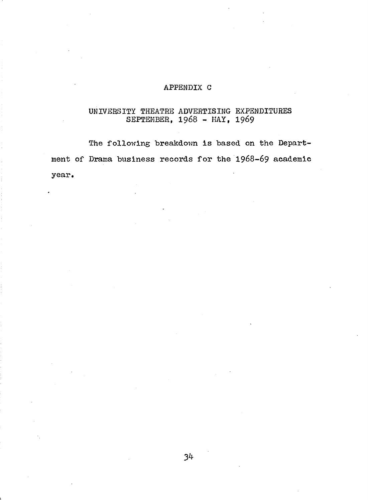# **APPENDIX C**

# **UNIVERSITY THEATRE ADVERTISING EXPENDITURES SEPTEMBER, 1968 - MAY, 19&9**

**The following breakdown is based on the Department of Drama business records for the 1 9 6 8 -6 9 academic year.**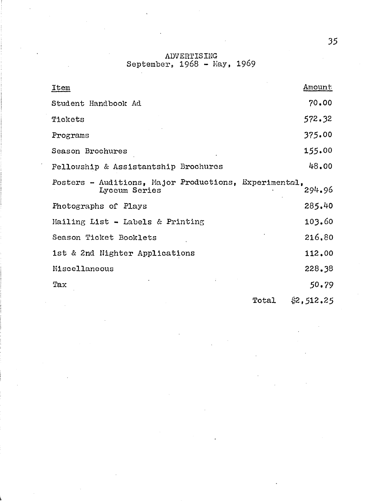**ADVERTISING September, 1968 - Hay, 1969**

| <b>Item</b>                                                            |       | Amount     |
|------------------------------------------------------------------------|-------|------------|
| Student Handbook Ad                                                    |       | 70.00      |
| Tickets                                                                |       | 572.32     |
| Programs                                                               |       | 375.00     |
| Season Brochures                                                       |       | 155.00     |
| Fellowship & Assistantship Brochures                                   |       | 48.00      |
| Posters - Auditions, Major Productions, Experimental,<br>Lyceum Series |       | 294.96     |
| Photographs of Plays                                                   |       | 285.40     |
| Mailing List - Labels & Printing                                       |       | 103.60     |
| Season Ticket Booklets                                                 |       | 216,80     |
| 1st & 2nd Nighter Applications                                         |       | 112.00     |
| Miscellaneous                                                          |       | 228.38     |
| Tax                                                                    |       | 50.79      |
|                                                                        | Total | \$2,512.25 |